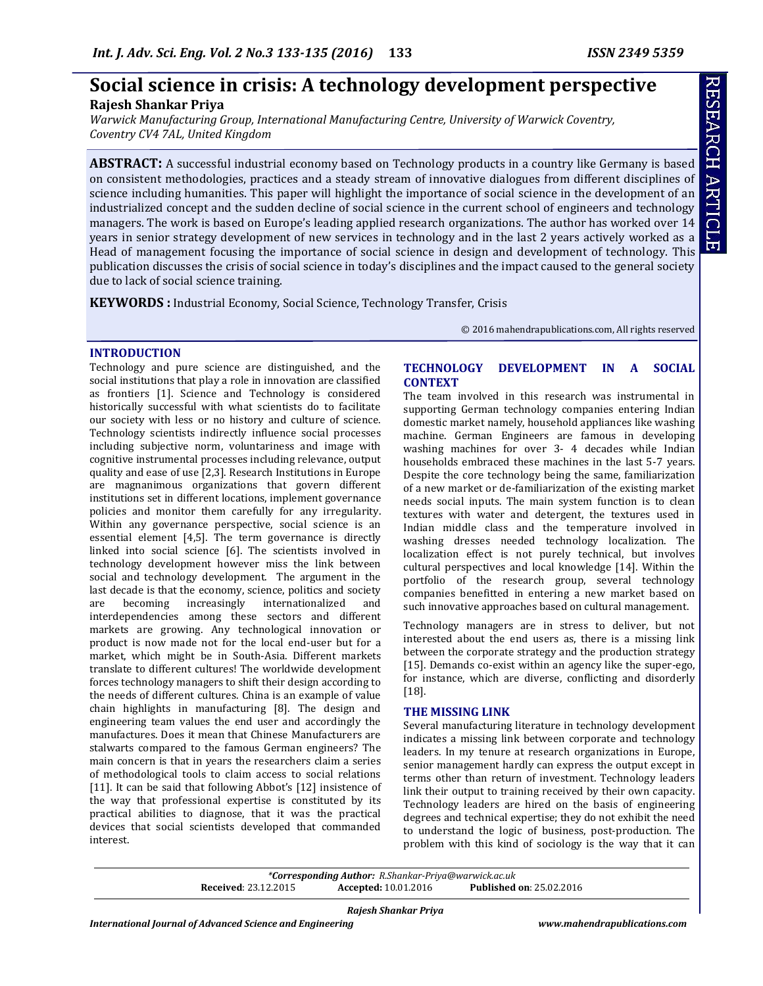# **Social science in crisis: A technology development perspective**

# **Rajesh Shankar Priya**

*Warwick Manufacturing Group, International Manufacturing Centre, University of Warwick Coventry, Coventry CV4 7AL, United Kingdom*

**ABSTRACT:** A successful industrial economy based on Technology products in a country like Germany is based on consistent methodologies, practices and a steady stream of innovative dialogues from different disciplines of science including humanities. This paper will highlight the importance of social science in the development of an industrialized concept and the sudden decline of social science in the current school of engineers and technology managers. The work is based on Europe's leading applied research organizations. The author has worked over 14 years in senior strategy development of new services in technology and in the last 2 years actively worked as a Head of management focusing the importance of social science in design and development of technology. This publication discusses the crisis of social science in today's disciplines and the impact caused to the general society due to lack of social science training.

**KEYWORDS :** Industrial Economy, Social Science, Technology Transfer, Crisis

© 2016 mahendrapublications.com, All rights reserved

#### **INTRODUCTION**

Technology and pure science are distinguished, and the social institutions that play a role in innovation are classified as frontiers [1]. Science and Technology is considered historically successful with what scientists do to facilitate our society with less or no history and culture of science. Technology scientists indirectly influence social processes including subjective norm, voluntariness and image with cognitive instrumental processes including relevance, output quality and ease of use [2,3]. Research Institutions in Europe are magnanimous organizations that govern different institutions set in different locations, implement governance policies and monitor them carefully for any irregularity. Within any governance perspective, social science is an essential element [4,5]. The term governance is directly linked into social science [6]. The scientists involved in technology development however miss the link between social and technology development. The argument in the last decade is that the economy, science, politics and society are becoming increasingly internationalized and interdependencies among these sectors and different markets are growing. Any technological innovation or product is now made not for the local end-user but for a market, which might be in South-Asia. Different markets translate to different cultures! The worldwide development forces technology managers to shift their design according to the needs of different cultures. China is an example of value chain highlights in manufacturing [8]. The design and engineering team values the end user and accordingly the manufactures. Does it mean that Chinese Manufacturers are stalwarts compared to the famous German engineers? The main concern is that in years the researchers claim a series of methodological tools to claim access to social relations [11]. It can be said that following Abbot's [12] insistence of the way that professional expertise is constituted by its practical abilities to diagnose, that it was the practical devices that social scientists developed that commanded interest.

## **TECHNOLOGY DEVELOPMENT IN A SOCIAL CONTEXT**

The team involved in this research was instrumental in supporting German technology companies entering Indian domestic market namely, household appliances like washing machine. German Engineers are famous in developing washing machines for over 3- 4 decades while Indian households embraced these machines in the last 5-7 years. Despite the core technology being the same, familiarization of a new market or de-familiarization of the existing market needs social inputs. The main system function is to clean textures with water and detergent, the textures used in Indian middle class and the temperature involved in washing dresses needed technology localization. The localization effect is not purely technical, but involves cultural perspectives and local knowledge [14]. Within the portfolio of the research group, several technology companies benefitted in entering a new market based on such innovative approaches based on cultural management.

Technology managers are in stress to deliver, but not interested about the end users as, there is a missing link between the corporate strategy and the production strategy [15]. Demands co-exist within an agency like the super-ego, for instance, which are diverse, conflicting and disorderly [18].

## **THE MISSING LINK**

Several manufacturing literature in technology development indicates a missing link between corporate and technology leaders. In my tenure at research organizations in Europe, senior management hardly can express the output except in terms other than return of investment. Technology leaders link their output to training received by their own capacity. Technology leaders are hired on the basis of engineering degrees and technical expertise; they do not exhibit the need to understand the logic of business, post-production. The problem with this kind of sociology is the way that it can

*\*Corresponding Author: [R.Shankar-Priya@warwick.ac.uk](mailto:R.Shankar-Priya@warwick.ac.uk)*  **Received**: 23.12.2015 **Accepted:** 10.01.2016 **Published on**: 25.02.2016

*Rajesh Shankar Priya*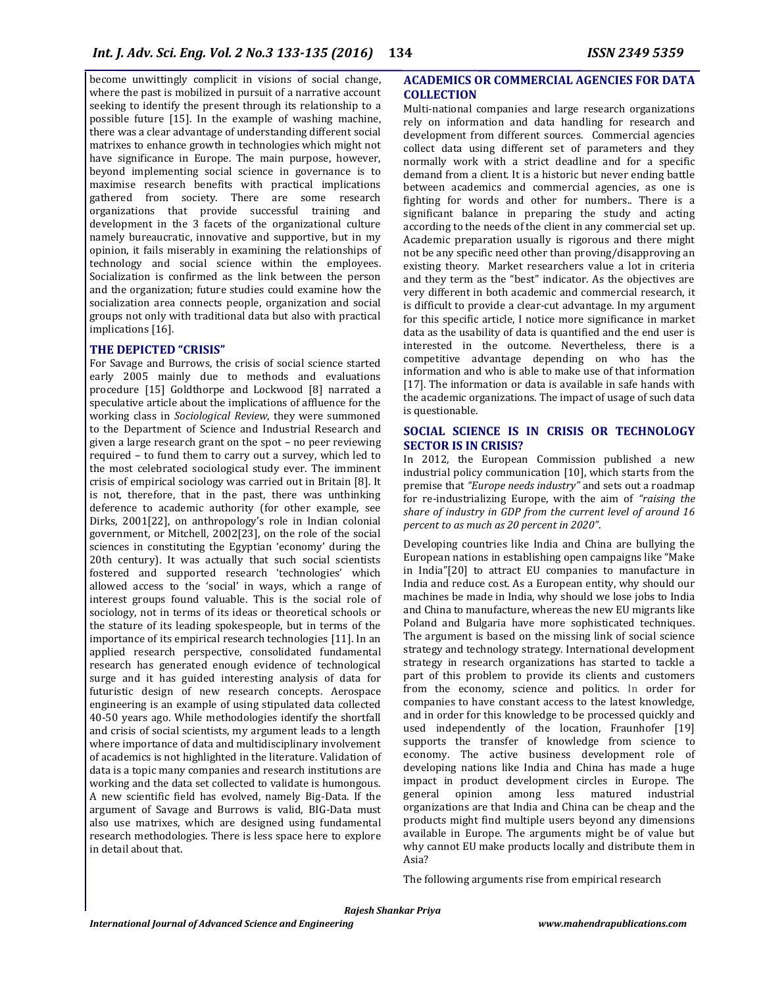become unwittingly complicit in visions of social change, where the past is mobilized in pursuit of a narrative account seeking to identify the present through its relationship to a possible future [15]. In the example of washing machine, there was a clear advantage of understanding different social matrixes to enhance growth in technologies which might not have significance in Europe. The main purpose, however, beyond implementing social science in governance is to maximise research benefits with practical implications gathered from society. There are some research organizations that provide successful training and development in the 3 facets of the organizational culture namely bureaucratic, innovative and supportive, but in my opinion, it fails miserably in examining the relationships of technology and social science within the employees. Socialization is confirmed as the link between the person and the organization; future studies could examine how the socialization area connects people, organization and social groups not only with traditional data but also with practical implications [16].

#### **THE DEPICTED "CRISIS"**

For Savage and Burrows, the crisis of social science started early 2005 mainly due to methods and evaluations procedure [15] Goldthorpe and Lockwood [8] narrated a speculative article about the implications of affluence for the working class in *Sociological Review*, they were summoned to the Department of Science and Industrial Research and given a large research grant on the spot – no peer reviewing required – to fund them to carry out a survey, which led to the most celebrated sociological study ever. The imminent crisis of empirical sociology was carried out in Britain [8]. It is not, therefore, that in the past, there was unthinking deference to academic authority (for other example, see Dirks, 2001[22], on anthropology's role in Indian colonial government, or Mitchell, 2002[23], on the role of the social sciences in constituting the Egyptian 'economy' during the 20th century). It was actually that such social scientists fostered and supported research 'technologies' which allowed access to the 'social' in ways, which a range of interest groups found valuable. This is the social role of sociology, not in terms of its ideas or theoretical schools or the stature of its leading spokespeople, but in terms of the importance of its empirical research technologies [11]. In an applied research perspective, consolidated fundamental research has generated enough evidence of technological surge and it has guided interesting analysis of data for futuristic design of new research concepts. Aerospace engineering is an example of using stipulated data collected 40-50 years ago. While methodologies identify the shortfall and crisis of social scientists, my argument leads to a length where importance of data and multidisciplinary involvement of academics is not highlighted in the literature. Validation of data is a topic many companies and research institutions are working and the data set collected to validate is humongous. A new scientific field has evolved, namely Big-Data. If the argument of Savage and Burrows is valid, BIG-Data must also use matrixes, which are designed using fundamental research methodologies. There is less space here to explore in detail about that.

## **ACADEMICS OR COMMERCIAL AGENCIES FOR DATA COLLECTION**

Multi-national companies and large research organizations rely on information and data handling for research and development from different sources. Commercial agencies collect data using different set of parameters and they normally work with a strict deadline and for a specific demand from a client. It is a historic but never ending battle between academics and commercial agencies, as one is fighting for words and other for numbers.. There is a significant balance in preparing the study and acting according to the needs of the client in any commercial set up. Academic preparation usually is rigorous and there might not be any specific need other than proving/disapproving an existing theory. Market researchers value a lot in criteria and they term as the "best" indicator. As the objectives are very different in both academic and commercial research, it is difficult to provide a clear-cut advantage. In my argument for this specific article, I notice more significance in market data as the usability of data is quantified and the end user is interested in the outcome. Nevertheless, there is a competitive advantage depending on who has the information and who is able to make use of that information [17]. The information or data is available in safe hands with the academic organizations. The impact of usage of such data is questionable.

#### **SOCIAL SCIENCE IS IN CRISIS OR TECHNOLOGY SECTOR IS IN CRISIS?**

In 2012, the European Commission published a new industrial policy communication [10], which starts from the premise that *"Europe needs industry"* and sets out a roadmap for re-industrializing Europe, with the aim of *"raising the share of industry in GDP from the current level of around 16 percent to as much as 20 percent in 2020"*.

Developing countries like India and China are bullying the European nations in establishing open campaigns like "Make in India"[20] to attract EU companies to manufacture in India and reduce cost. As a European entity, why should our machines be made in India, why should we lose jobs to India and China to manufacture, whereas the new EU migrants like Poland and Bulgaria have more sophisticated techniques. The argument is based on the missing link of social science strategy and technology strategy. International development strategy in research organizations has started to tackle a part of this problem to provide its clients and customers from the economy, science and politics. In order for companies to have constant access to the latest knowledge, and in order for this knowledge to be processed quickly and used independently of the location, Fraunhofer [19] supports the transfer of knowledge from science to economy. The active business development role of developing nations like India and China has made a huge impact in product development circles in Europe. The general opinion among less matured industrial organizations are that India and China can be cheap and the products might find multiple users beyond any dimensions available in Europe. The arguments might be of value but why cannot EU make products locally and distribute them in Asia?

The following arguments rise from empirical research

*Rajesh Shankar Priya*